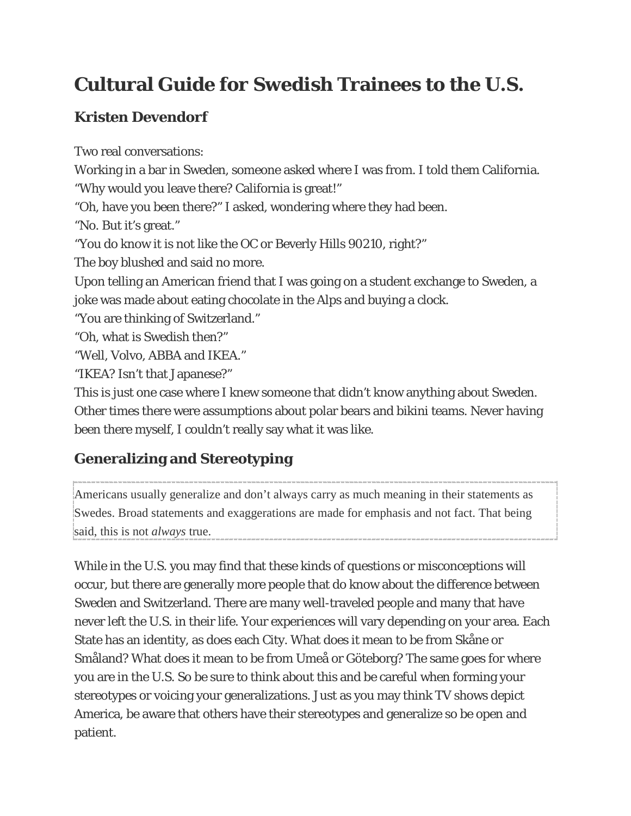# **Cultural Guide for Swedish Trainees to the U.S.**

# **Kristen Devendorf**

Two real conversations: Working in a bar in Sweden, someone asked where I was from. I told them California. "Why would you leave there? California is great!" "Oh, have you been there?" I asked, wondering where they had been. "No. But it's great." "You do know it is not like the OC or Beverly Hills 90210, right?" The boy blushed and said no more. Upon telling an American friend that I was going on a student exchange to Sweden, a joke was made about eating chocolate in the Alps and buying a clock. "You are thinking of Switzerland." "Oh, what is Swedish then?" "Well, Volvo, ABBA and IKEA." "IKEA? Isn't that Japanese?" This is just one case where I knew someone that didn't know anything about Sweden. Other times there were assumptions about polar bears and bikini teams. Never having

# **Generalizing and Stereotyping**

been there myself, I couldn't really say what it was like.

Americans usually generalize and don't always carry as much meaning in their statements as Swedes. Broad statements and exaggerations are made for emphasis and not fact. That being said, this is not *always* true.

While in the U.S. you may find that these kinds of questions or misconceptions will occur, but there are generally more people that do know about the difference between Sweden and Switzerland. There are many well-traveled people and many that have never left the U.S. in their life. Your experiences will vary depending on your area. Each State has an identity, as does each City. What does it mean to be from Skåne or Småland? What does it mean to be from Umeå or Göteborg? The same goes for where you are in the U.S. So be sure to think about this and be careful when forming your stereotypes or voicing your generalizations. Just as you may think TV shows depict America, be aware that others have their stereotypes and generalize so be open and patient.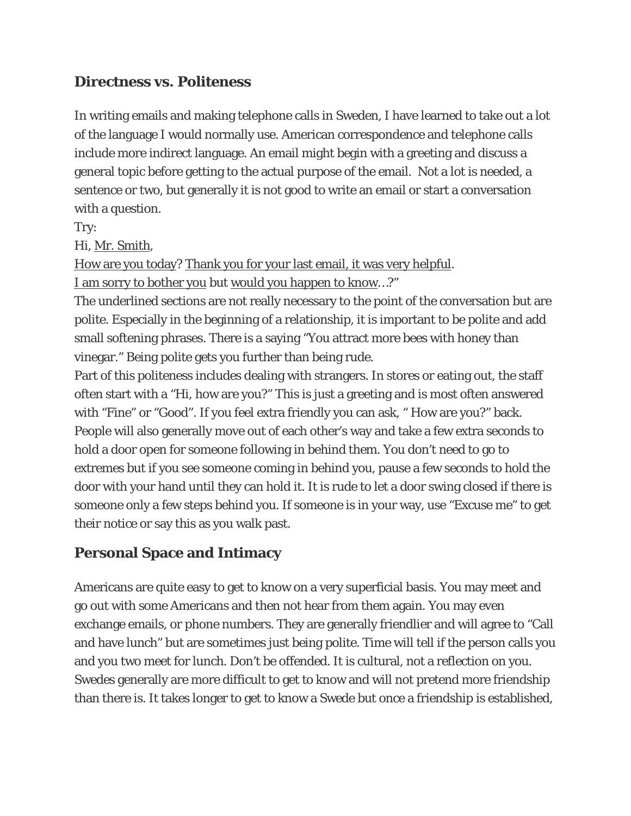#### **Directness vs. Politeness**

In writing emails and making telephone calls in Sweden, I have learned to take out a lot of the language I would normally use. American correspondence and telephone calls include more indirect language. An email might begin with a greeting and discuss a general topic before getting to the actual purpose of the email. Not a lot is needed, a sentence or two, but generally it is not good to write an email or start a conversation with a question.

Try:

Hi, Mr. Smith,

How are you today? Thank you for your last email, it was very helpful. I am sorry to bother you but would you happen to know…?"

The underlined sections are not really necessary to the point of the conversation but are polite. Especially in the beginning of a relationship, it is important to be polite and add small softening phrases. There is a saying "You attract more bees with honey than vinegar." Being polite gets you further than being rude.

Part of this politeness includes dealing with strangers. In stores or eating out, the staff often start with a "Hi, how are you?" This is just a greeting and is most often answered with "Fine" or "Good". If you feel extra friendly you can ask, " How are you?" back. People will also generally move out of each other's way and take a few extra seconds to hold a door open for someone following in behind them. You don't need to go to extremes but if you see someone coming in behind you, pause a few seconds to hold the door with your hand until they can hold it. It is rude to let a door swing closed if there is someone only a few steps behind you. If someone is in your way, use "Excuse me" to get their notice or say this as you walk past.

### **Personal Space and Intimacy**

Americans are quite easy to get to know on a very superficial basis. You may meet and go out with some Americans and then not hear from them again. You may even exchange emails, or phone numbers. They are generally friendlier and will agree to "Call and have lunch" but are sometimes just being polite. Time will tell if the person calls you and you two meet for lunch. Don't be offended. It is cultural, not a reflection on you. Swedes generally are more difficult to get to know and will not pretend more friendship than there is. It takes longer to get to know a Swede but once a friendship is established,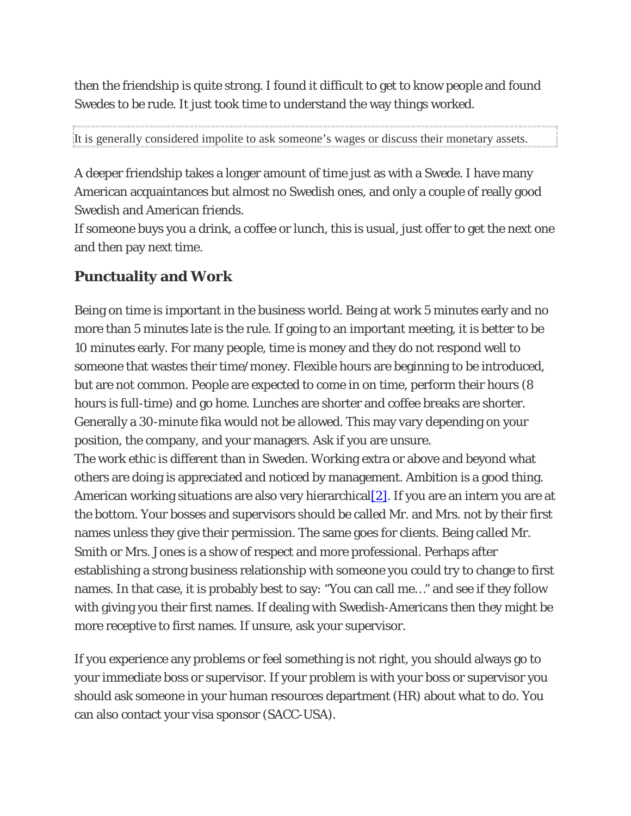then the friendship is quite strong. I found it difficult to get to know people and found Swedes to be rude. It just took time to understand the way things worked.

It is generally considered impolite to ask someone's wages or discuss their monetary assets.

A deeper friendship takes a longer amount of time just as with a Swede. I have many American acquaintances but almost no Swedish ones, and only a couple of really good Swedish and American friends.

If someone buys you a drink, a coffee or lunch, this is usual, just offer to get the next one and then pay next time.

#### **Punctuality and Work**

Being on time is important in the business world. Being at work 5 minutes early and no more than 5 minutes late is the rule. If going to an important meeting, it is better to be 10 minutes early. For many people, time is money and they do not respond well to someone that wastes their time/money. Flexible hours are beginning to be introduced, but are not common. People are expected to come in on time, perform their hours (8 hours is full-time) and go home. Lunches are shorter and coffee breaks are shorter. Generally a 30-minute fika would not be allowed. This may vary depending on your position, the company, and your managers. Ask if you are unsure.

The work ethic is different than in Sweden. Working extra or above and beyond what others are doing is appreciated and noticed by management. Ambition is a good thing. American working situations are also very hierarchical  $[2]$ . If you are an intern you are at the bottom. Your bosses and supervisors should be called Mr. and Mrs. not by their first names unless they give their permission. The same goes for clients. Being called Mr. Smith or Mrs. Jones is a show of respect and more professional. Perhaps after establishing a strong business relationship with someone you could try to change to first names. In that case, it is probably best to say: "You can call me…" and see if they follow with giving you their first names. If dealing with Swedish-Americans then they might be more receptive to first names. If unsure, ask your supervisor.

If you experience any problems or feel something is not right, you should always go to your immediate boss or supervisor. If your problem is with your boss or supervisor you should ask someone in your human resources department (HR) about what to do. You can also contact your visa sponsor (SACC-USA).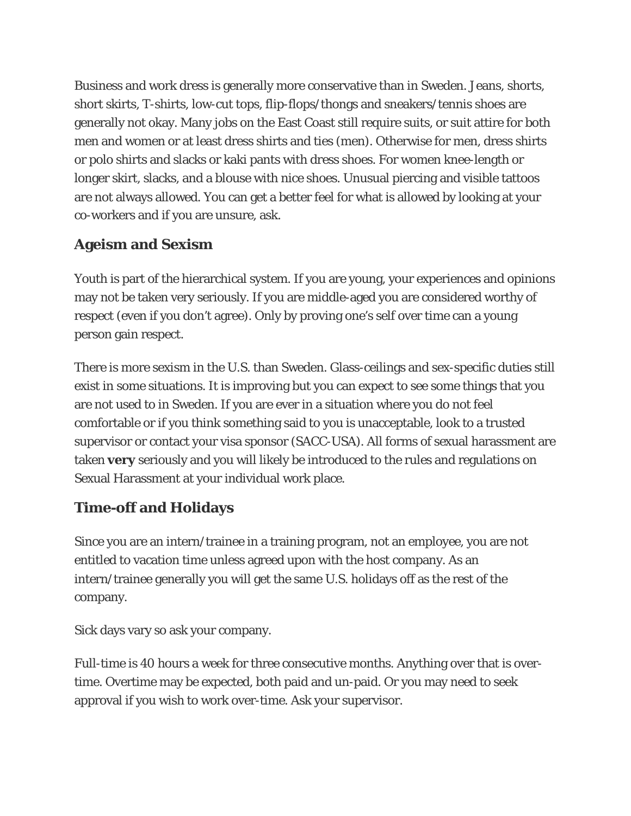Business and work dress is generally more conservative than in Sweden. Jeans, shorts, short skirts, T-shirts, low-cut tops, flip-flops/thongs and sneakers/tennis shoes are generally not okay. Many jobs on the East Coast still require suits, or suit attire for both men and women or at least dress shirts and ties (men). Otherwise for men, dress shirts or polo shirts and slacks or kaki pants with dress shoes. For women knee-length or longer skirt, slacks, and a blouse with nice shoes. Unusual piercing and visible tattoos are not always allowed. You can get a better feel for what is allowed by looking at your co-workers and if you are unsure, ask.

#### **Ageism and Sexism**

Youth is part of the hierarchical system. If you are young, your experiences and opinions may not be taken very seriously. If you are middle-aged you are considered worthy of respect (even if you don't agree). Only by proving one's self over time can a young person gain respect.

There is more sexism in the U.S. than Sweden. Glass-ceilings and sex-specific duties still exist in some situations. It is improving but you can expect to see some things that you are not used to in Sweden. If you are ever in a situation where you do not feel comfortable or if you think something said to you is unacceptable, look to a trusted supervisor or contact your visa sponsor (SACC-USA). All forms of sexual harassment are taken **very** seriously and you will likely be introduced to the rules and regulations on Sexual Harassment at your individual work place.

### **Time-off and Holidays**

Since you are an intern/trainee in a training program, not an employee, you are not entitled to vacation time unless agreed upon with the host company. As an intern/trainee generally you will get the same U.S. holidays off as the rest of the company.

Sick days vary so ask your company.

Full-time is 40 hours a week for three consecutive months. Anything over that is overtime. Overtime may be expected, both paid and un-paid. Or you may need to seek approval if you wish to work over-time. Ask your supervisor.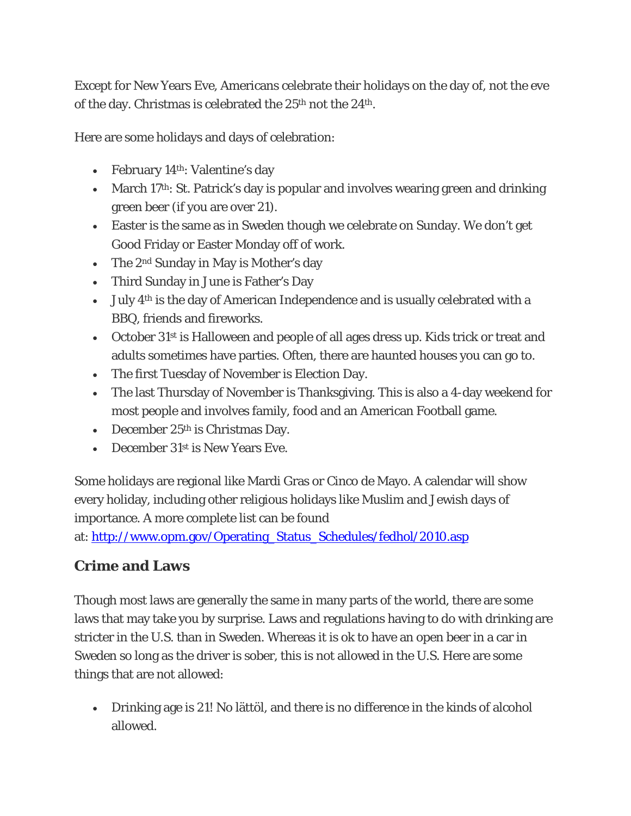Except for New Years Eve, Americans celebrate their holidays on the day of, not the eve of the day. Christmas is celebrated the 25<sup>th</sup> not the 24<sup>th</sup>.

Here are *some* holidays and days of celebration:

- February 14<sup>th</sup>: Valentine's day
- March 17<sup>th</sup>: St. Patrick's day is popular and involves wearing green and drinking green beer (if you are over 21).
- Easter is the same as in Sweden though we celebrate on Sunday. We don't get Good Friday or Easter Monday off of work.
- The 2<sup>nd</sup> Sunday in May is Mother's day
- Third Sunday in June is Father's Day
- July 4th is the day of American Independence and is usually celebrated with a BBQ, friends and fireworks.
- October 31<sup>st</sup> is Halloween and people of all ages dress up. Kids trick or treat and adults sometimes have parties. Often, there are haunted houses you can go to.
- The first Tuesday of November is Election Day.
- The last Thursday of November is Thanksgiving. This is also a 4-day weekend for most people and involves family, food and an American Football game.
- December  $25<sup>th</sup>$  is Christmas Day.
- December 31<sup>st</sup> is New Years Eve.

Some holidays are regional like Mardi Gras or Cinco de Mayo. A calendar will show every holiday, including other religious holidays like Muslim and Jewish days of importance. A more complete list can be found

at: [http://www.opm.gov/Operating\\_Status\\_Schedules/fedhol/2010.asp](http://www.opm.gov/Operating_Status_Schedules/fedhol/2010.asp)

#### **Crime and Laws**

Though most laws are generally the same in many parts of the world, there are some laws that may take you by surprise. Laws and regulations having to do with drinking are stricter in the U.S. than in Sweden. Whereas it is ok to have an open beer in a car in Sweden so long as the driver is sober, this is not allowed in the U.S. Here are some things that are not allowed:

• Drinking age is 21! No lättöl, and there is no difference in the kinds of alcohol allowed.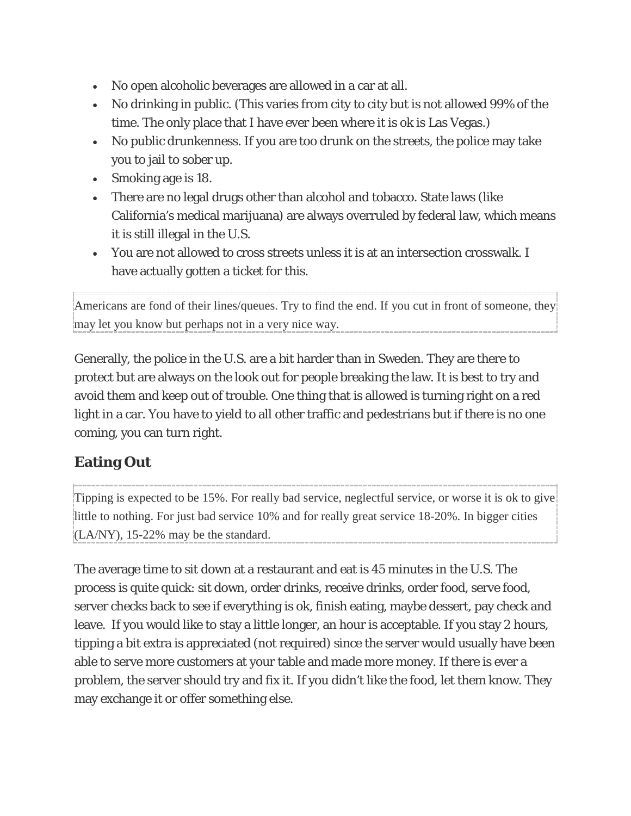- No open alcoholic beverages are allowed in a car at all.
- No drinking in public. (This varies from city to city but is not allowed 99% of the time. The only place that I have ever been where it is ok is Las Vegas.)
- No public drunkenness. If you are too drunk on the streets, the police may take you to jail to sober up.
- Smoking age is 18.
- There are no legal drugs other than alcohol and tobacco. State laws (like California's medical marijuana) are always overruled by federal law, which means it is still illegal in the U.S.
- You are not allowed to cross streets unless it is at an intersection crosswalk. I have actually gotten a ticket for this.

Americans are fond of their lines/queues. Try to find the end. If you cut in front of someone, they may let you know but perhaps not in a very nice way.

Generally, the police in the U.S. are a bit harder than in Sweden. They are there to protect but are always on the look out for people breaking the law. It is best to try and avoid them and keep out of trouble. One thing that is allowed is turning right on a red light in a car. You have to yield to all other traffic and pedestrians but if there is no one coming, you can turn right.

# **Eating Out**

Tipping is expected to be 15%. For really bad service, neglectful service, or worse it is ok to give little to nothing. For just bad service 10% and for really great service 18-20%. In bigger cities  $\left[$ (LA/NY), 15-22% may be the standard.

The average time to sit down at a restaurant and eat is 45 minutes in the U.S. The process is quite quick: sit down, order drinks, receive drinks, order food, serve food, server checks back to see if everything is ok, finish eating, maybe dessert, pay check and leave. If you would like to stay a little longer, an hour is acceptable. If you stay 2 hours, tipping a bit extra is appreciated (not required) since the server would usually have been able to serve more customers at your table and made more money. If there is ever a problem, the server should try and fix it. If you didn't like the food, let them know. They may exchange it or offer something else.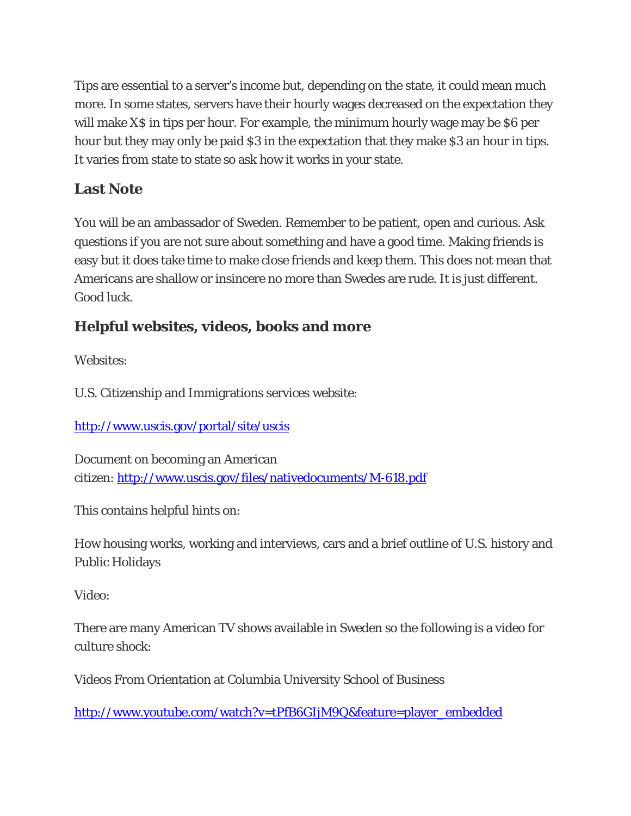Tips are essential to a server's income but, depending on the state, it could mean much more. In some states, servers have their hourly wages decreased on the expectation they will make X\$ in tips per hour. For example, the minimum hourly wage may be \$6 per hour but they may only be paid \$3 in the expectation that they make \$3 an hour in tips. It varies from state to state so ask how it works in your state.

## **Last Note**

You will be an ambassador of Sweden. Remember to be patient, open and curious. Ask questions if you are not sure about something and have a good time. Making friends is easy but it does take time to make close friends and keep them. This does not mean that Americans are shallow or insincere no more than Swedes are rude. It is just different. Good luck.

# **Helpful websites, videos, books and more**

*Websites*:

U.S. Citizenship and Immigrations services website:

<http://www.uscis.gov/portal/site/uscis>

Document on becoming an American citizen: <http://www.uscis.gov/files/nativedocuments/M-618.pdf>

This contains helpful hints on:

How housing works, working and interviews, cars and a brief outline of U.S. history and Public Holidays

*Video*:

There are many American TV shows available in Sweden so the following is a video for culture shock:

Videos From Orientation at Columbia University School of Business

[http://www.youtube.com/watch?v=tPfB6GIjM9Q&feature=player\\_embedded](http://www.youtube.com/watch?v=tPfB6GIjM9Q&feature=player_embedded)